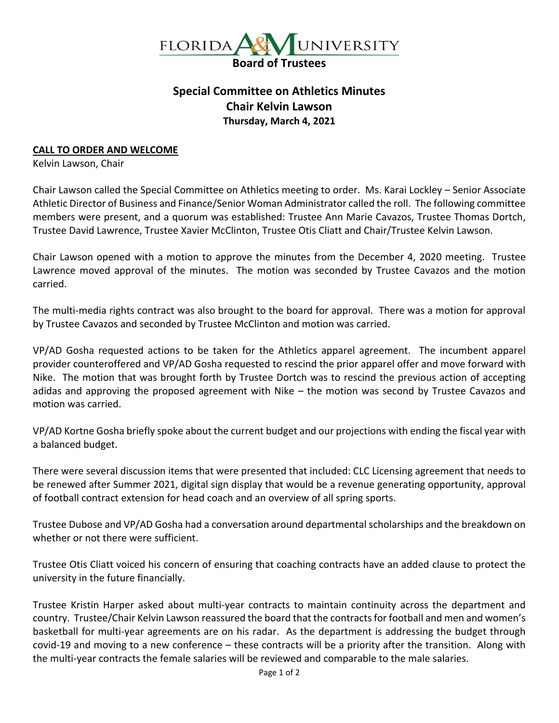

## **Special Committee on Athletics Minutes Chair Kelvin Lawson Thursday, March 4, 2021**

## **CALL TO ORDER AND WELCOME**

Kelvin Lawson, Chair

Chair Lawson called the Special Committee on Athletics meeting to order. Ms. Karai Lockley – Senior Associate Athletic Director of Business and Finance/Senior Woman Administrator called the roll. The following committee members were present, and a quorum was established: Trustee Ann Marie Cavazos, Trustee Thomas Dortch, Trustee David Lawrence, Trustee Xavier McClinton, Trustee Otis Cliatt and Chair/Trustee Kelvin Lawson.

Chair Lawson opened with a motion to approve the minutes from the December 4, 2020 meeting. Trustee Lawrence moved approval of the minutes. The motion was seconded by Trustee Cavazos and the motion carried.

The multi-media rights contract was also brought to the board for approval. There was a motion for approval by Trustee Cavazos and seconded by Trustee McClinton and motion was carried.

VP/AD Gosha requested actions to be taken for the Athletics apparel agreement. The incumbent apparel provider counteroffered and VP/AD Gosha requested to rescind the prior apparel offer and move forward with Nike. The motion that was brought forth by Trustee Dortch was to rescind the previous action of accepting adidas and approving the proposed agreement with Nike – the motion was second by Trustee Cavazos and motion was carried.

VP/AD Kortne Gosha briefly spoke about the current budget and our projections with ending the fiscal year with a balanced budget.

There were several discussion items that were presented that included: CLC Licensing agreement that needs to be renewed after Summer 2021, digital sign display that would be a revenue generating opportunity, approval of football contract extension for head coach and an overview of all spring sports.

Trustee Dubose and VP/AD Gosha had a conversation around departmental scholarships and the breakdown on whether or not there were sufficient.

Trustee Otis Cliatt voiced his concern of ensuring that coaching contracts have an added clause to protect the university in the future financially.

Trustee Kristin Harper asked about multi-year contracts to maintain continuity across the department and country. Trustee/Chair Kelvin Lawson reassured the board that the contracts for football and men and women's basketball for multi-year agreements are on his radar. As the department is addressing the budget through covid-19 and moving to a new conference – these contracts will be a priority after the transition. Along with the multi-year contracts the female salaries will be reviewed and comparable to the male salaries.